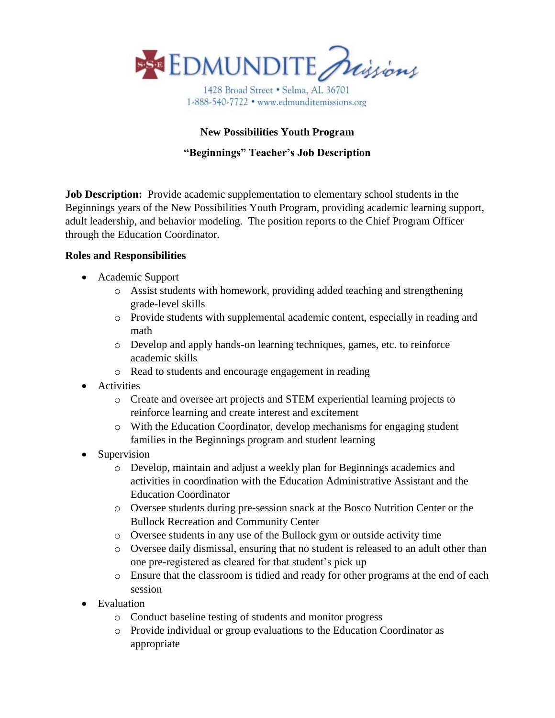

1428 Broad Street . Selma, AL 36701 1-888-540-7722 • www.edmunditemissions.org

# **New Possibilities Youth Program**

## **"Beginnings" Teacher's Job Description**

**Job Description:** Provide academic supplementation to elementary school students in the Beginnings years of the New Possibilities Youth Program, providing academic learning support, adult leadership, and behavior modeling. The position reports to the Chief Program Officer through the Education Coordinator.

#### **Roles and Responsibilities**

- Academic Support
	- o Assist students with homework, providing added teaching and strengthening grade-level skills
	- o Provide students with supplemental academic content, especially in reading and math
	- o Develop and apply hands-on learning techniques, games, etc. to reinforce academic skills
	- o Read to students and encourage engagement in reading
- Activities
	- o Create and oversee art projects and STEM experiential learning projects to reinforce learning and create interest and excitement
	- o With the Education Coordinator, develop mechanisms for engaging student families in the Beginnings program and student learning
- Supervision
	- o Develop, maintain and adjust a weekly plan for Beginnings academics and activities in coordination with the Education Administrative Assistant and the Education Coordinator
	- o Oversee students during pre-session snack at the Bosco Nutrition Center or the Bullock Recreation and Community Center
	- o Oversee students in any use of the Bullock gym or outside activity time
	- o Oversee daily dismissal, ensuring that no student is released to an adult other than one pre-registered as cleared for that student's pick up
	- o Ensure that the classroom is tidied and ready for other programs at the end of each session
- Evaluation
	- o Conduct baseline testing of students and monitor progress
	- o Provide individual or group evaluations to the Education Coordinator as appropriate